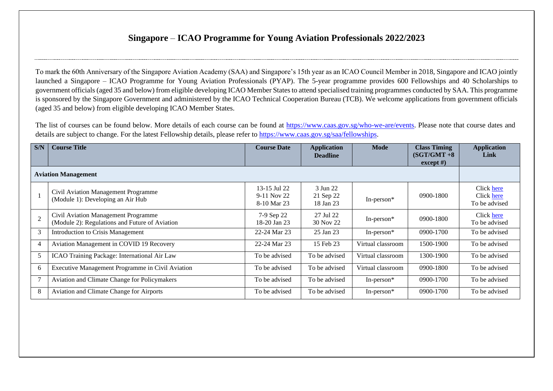## **Singapore** – **ICAO Programme for Young Aviation Professionals 2022/2023**

To mark the 60th Anniversary of the Singapore Aviation Academy (SAA) and Singapore's 15th year as an ICAO Council Member in 2018, Singapore and ICAO jointly launched a Singapore – ICAO Programme for Young Aviation Professionals (PYAP). The 5-year programme provides 600 Fellowships and 40 Scholarships to government officials (aged 35 and below) from eligible developing ICAO Member States to attend specialised training programmes conducted by SAA. This programme is sponsored by the Singapore Government and administered by the ICAO Technical Cooperation Bureau (TCB). We welcome applications from government officials (aged 35 and below) from eligible developing ICAO Member States.

The list of courses can be found below. More details of each course can be found at [https://www.caas.gov.sg/who-we-are/events.](https://www.caas.gov.sg/who-we-are/events) Please note that course dates and details are subject to change. For the latest Fellowship details, please refer to [https://www.caas.gov.sg/saa/fellowships.](https://www.caas.gov.sg/saa/fellowships)

| S/N                        | <b>Course Title</b>                                                                   | <b>Course Date</b>                         | <b>Application</b><br><b>Deadline</b> | <b>Mode</b>       | <b>Class Timing</b><br>$(SGT/GMT + 8)$<br>except $#$ ) | <b>Application</b><br><b>Link</b>         |  |
|----------------------------|---------------------------------------------------------------------------------------|--------------------------------------------|---------------------------------------|-------------------|--------------------------------------------------------|-------------------------------------------|--|
| <b>Aviation Management</b> |                                                                                       |                                            |                                       |                   |                                                        |                                           |  |
|                            | Civil Aviation Management Programme<br>(Module 1): Developing an Air Hub              | 13-15 Jul 22<br>9-11 Nov 22<br>8-10 Mar 23 | 3 Jun 22<br>21 Sep 22<br>18 Jan 23    | In-person $*$     | 0900-1800                                              | Click here<br>Click here<br>To be advised |  |
| $\overline{2}$             | Civil Aviation Management Programme<br>(Module 2): Regulations and Future of Aviation | 7-9 Sep 22<br>18-20 Jan 23                 | 27 Jul 22<br>30 Nov 22                | In-person $*$     | 0900-1800                                              | Click here<br>To be advised               |  |
| 3                          | <b>Introduction to Crisis Management</b>                                              | 22-24 Mar 23                               | 25 Jan 23                             | In-person $*$     | 0900-1700                                              | To be advised                             |  |
| $\overline{4}$             | Aviation Management in COVID 19 Recovery                                              | 22-24 Mar 23                               | 15 Feb 23                             | Virtual classroom | 1500-1900                                              | To be advised                             |  |
| 5                          | ICAO Training Package: International Air Law                                          | To be advised                              | To be advised                         | Virtual classroom | 1300-1900                                              | To be advised                             |  |
| 6                          | Executive Management Programme in Civil Aviation                                      | To be advised                              | To be advised                         | Virtual classroom | 0900-1800                                              | To be advised                             |  |
|                            | Aviation and Climate Change for Policymakers                                          | To be advised                              | To be advised                         | In-person $*$     | 0900-1700                                              | To be advised                             |  |
| 8                          | Aviation and Climate Change for Airports                                              | To be advised                              | To be advised                         | In-person $*$     | 0900-1700                                              | To be advised                             |  |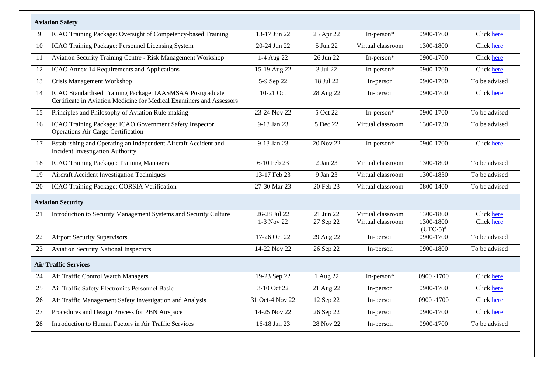|    | <b>Aviation Safety</b>                                                                                                            |                            |                        |                                        |                                         |                          |
|----|-----------------------------------------------------------------------------------------------------------------------------------|----------------------------|------------------------|----------------------------------------|-----------------------------------------|--------------------------|
| 9  | ICAO Training Package: Oversight of Competency-based Training                                                                     | 13-17 Jun 22               | 25 Apr 22              | In-person*                             | 0900-1700                               | Click here               |
| 10 | ICAO Training Package: Personnel Licensing System                                                                                 | 20-24 Jun 22               | 5 Jun 22               | Virtual classroom                      | 1300-1800                               | Click here               |
| 11 | Aviation Security Training Centre - Risk Management Workshop                                                                      | 1-4 Aug 22                 | 26 Jun 22              | In-person*                             | 0900-1700                               | Click here               |
| 12 | ICAO Annex 14 Requirements and Applications                                                                                       | $15-19$ Aug 22             | 3 Jul 22               | In-person*                             | 0900-1700                               | Click here               |
| 13 | Crisis Management Workshop                                                                                                        | 5-9 Sep 22                 | 18 Jul 22              | In-person                              | 0900-1700                               | To be advised            |
| 14 | ICAO Standardised Training Package: IAASMSAA Postgraduate<br>Certificate in Aviation Medicine for Medical Examiners and Assessors | 10-21 Oct                  | 28 Aug 22              | In-person                              | 0900-1700                               | Click here               |
| 15 | Principles and Philosophy of Aviation Rule-making                                                                                 | 23-24 Nov 22               | 5 Oct 22               | In-person*                             | 0900-1700                               | To be advised            |
| 16 | ICAO Training Package: ICAO Government Safety Inspector<br>Operations Air Cargo Certification                                     | 9-13 Jan 23                | 5 Dec 22               | Virtual classroom                      | 1300-1730                               | To be advised            |
| 17 | Establishing and Operating an Independent Aircraft Accident and<br><b>Incident Investigation Authority</b>                        | 9-13 Jan 23                | 20 Nov 22              | In-person*                             | 0900-1700                               | Click here               |
| 18 | <b>ICAO Training Package: Training Managers</b>                                                                                   | 6-10 Feb 23                | 2 Jan 23               | Virtual classroom                      | 1300-1800                               | To be advised            |
| 19 | <b>Aircraft Accident Investigation Techniques</b>                                                                                 | 13-17 Feb 23               | 9 Jan 23               | Virtual classroom                      | 1300-1830                               | To be advised            |
| 20 | ICAO Training Package: CORSIA Verification                                                                                        | 27-30 Mar 23               | 20 Feb 23              | Virtual classroom                      | 0800-1400                               | To be advised            |
|    | <b>Aviation Security</b>                                                                                                          |                            |                        |                                        |                                         |                          |
| 21 | Introduction to Security Management Systems and Security Culture                                                                  | 26-28 Jul 22<br>1-3 Nov 22 | 21 Jun 22<br>27 Sep 22 | Virtual classroom<br>Virtual classroom | 1300-1800<br>1300-1800<br>$(UTC-5)^{#}$ | Click here<br>Click here |
| 22 | <b>Airport Security Supervisors</b>                                                                                               | 17-26 Oct 22               | 29 Aug 22              | In-person                              | 0900-1700                               | To be advised            |
| 23 | <b>Aviation Security National Inspectors</b>                                                                                      | 14-22 Nov 22               | 26 Sep 22              | In-person                              | 0900-1800                               | To be advised            |
|    | <b>Air Traffic Services</b>                                                                                                       |                            |                        |                                        |                                         |                          |
| 24 | Air Traffic Control Watch Managers                                                                                                | 19-23 Sep 22               | 1 Aug 22               | In-person*                             | 0900 - 1700                             | Click here               |
| 25 | Air Traffic Safety Electronics Personnel Basic                                                                                    | 3-10 Oct 22                | 21 Aug 22              | In-person                              | 0900-1700                               | Click here               |
| 26 | Air Traffic Management Safety Investigation and Analysis                                                                          | 31 Oct-4 Nov 22            | 12 Sep 22              | In-person                              | 0900 - 1700                             | Click here               |
| 27 | Procedures and Design Process for PBN Airspace                                                                                    | 14-25 Nov 22               | 26 Sep 22              | In-person                              | 0900-1700                               | Click here               |
| 28 | Introduction to Human Factors in Air Traffic Services                                                                             | 16-18 Jan 23               | 28 Nov 22              | In-person                              | 0900-1700                               | To be advised            |